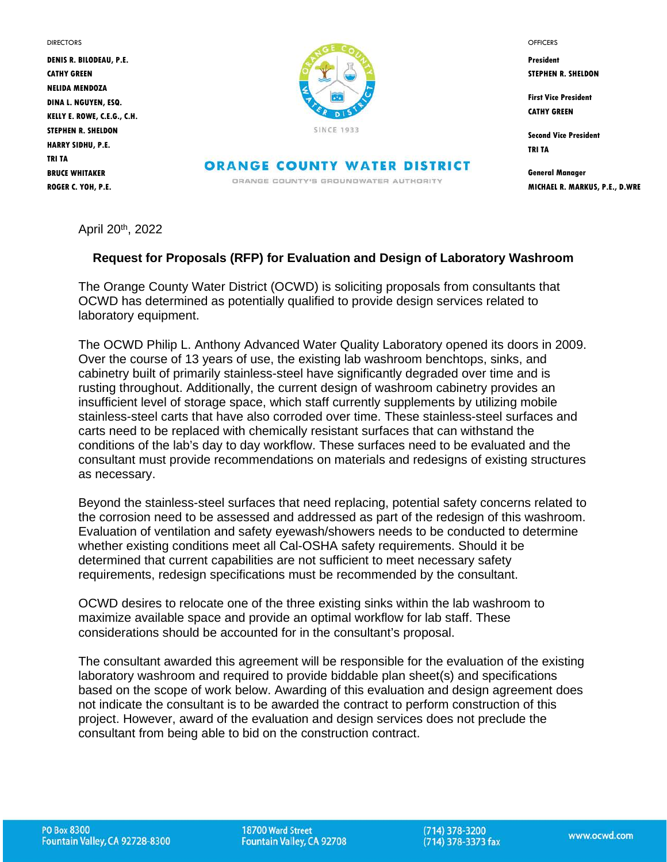**DIRECTORS** 

**DENIS R. BILODEAU, P.E. CATHY GREEN NELIDA MENDOZA DINA L. NGUYEN, ESQ. KELLY E. ROWE, C.E.G., C.H. STEPHEN R. SHELDON HARRY SIDHU, P.E. TRI TA BRUCE WHITAKER ROGER C. YOH, P.E.**



**ORANGE COUNTY WATER DISTRICT** ORANGE COUNTY'S GROUNOWATER AUTHORITY

**OFFICERS** 

**President STEPHEN R. SHELDON**

**First Vice President CATHY GREEN**

**Second Vice President TRI TA** 

**General Manager MICHAEL R. MARKUS, P.E., D.WRE**

April 20th, 2022

# **Request for Proposals (RFP) for Evaluation and Design of Laboratory Washroom**

The Orange County Water District (OCWD) is soliciting proposals from consultants that OCWD has determined as potentially qualified to provide design services related to laboratory equipment.

The OCWD Philip L. Anthony Advanced Water Quality Laboratory opened its doors in 2009. Over the course of 13 years of use, the existing lab washroom benchtops, sinks, and cabinetry built of primarily stainless-steel have significantly degraded over time and is rusting throughout. Additionally, the current design of washroom cabinetry provides an insufficient level of storage space, which staff currently supplements by utilizing mobile stainless-steel carts that have also corroded over time. These stainless-steel surfaces and carts need to be replaced with chemically resistant surfaces that can withstand the conditions of the lab's day to day workflow. These surfaces need to be evaluated and the consultant must provide recommendations on materials and redesigns of existing structures as necessary.

Beyond the stainless-steel surfaces that need replacing, potential safety concerns related to the corrosion need to be assessed and addressed as part of the redesign of this washroom. Evaluation of ventilation and safety eyewash/showers needs to be conducted to determine whether existing conditions meet all Cal-OSHA safety requirements. Should it be determined that current capabilities are not sufficient to meet necessary safety requirements, redesign specifications must be recommended by the consultant.

OCWD desires to relocate one of the three existing sinks within the lab washroom to maximize available space and provide an optimal workflow for lab staff. These considerations should be accounted for in the consultant's proposal.

The consultant awarded this agreement will be responsible for the evaluation of the existing laboratory washroom and required to provide biddable plan sheet(s) and specifications based on the scope of work below. Awarding of this evaluation and design agreement does not indicate the consultant is to be awarded the contract to perform construction of this project. However, award of the evaluation and design services does not preclude the consultant from being able to bid on the construction contract.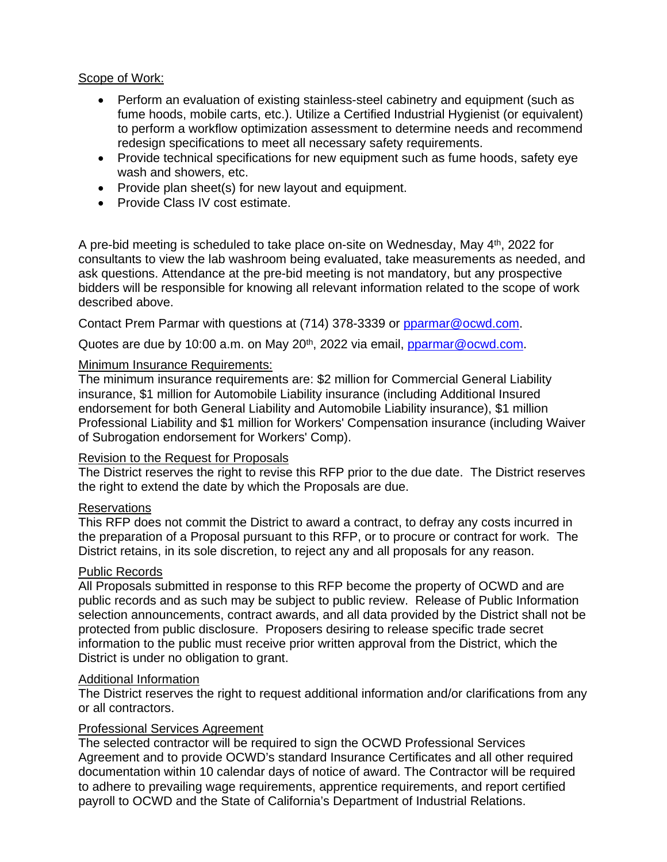## Scope of Work:

- Perform an evaluation of existing stainless-steel cabinetry and equipment (such as fume hoods, mobile carts, etc.). Utilize a Certified Industrial Hygienist (or equivalent) to perform a workflow optimization assessment to determine needs and recommend redesign specifications to meet all necessary safety requirements.
- Provide technical specifications for new equipment such as fume hoods, safety eye wash and showers, etc.
- Provide plan sheet(s) for new layout and equipment.
- Provide Class IV cost estimate.

A pre-bid meeting is scheduled to take place on-site on Wednesday, May 4<sup>th</sup>, 2022 for consultants to view the lab washroom being evaluated, take measurements as needed, and ask questions. Attendance at the pre-bid meeting is not mandatory, but any prospective bidders will be responsible for knowing all relevant information related to the scope of work described above.

Contact Prem Parmar with questions at (714) 378-3339 or [pparmar@ocwd.com.](mailto:pparmar@ocwd.com)

Quotes are due by 10:00 a.m. on May 20<sup>th</sup>, 2022 via email, [pparmar@ocwd.com.](mailto:pparmar@ocwd.com)

## Minimum Insurance Requirements:

The minimum insurance requirements are: \$2 million for Commercial General Liability insurance, \$1 million for Automobile Liability insurance (including Additional Insured endorsement for both General Liability and Automobile Liability insurance), \$1 million Professional Liability and \$1 million for Workers' Compensation insurance (including Waiver of Subrogation endorsement for Workers' Comp).

# Revision to the Request for Proposals

The District reserves the right to revise this RFP prior to the due date. The District reserves the right to extend the date by which the Proposals are due.

# Reservations

This RFP does not commit the District to award a contract, to defray any costs incurred in the preparation of a Proposal pursuant to this RFP, or to procure or contract for work. The District retains, in its sole discretion, to reject any and all proposals for any reason.

### Public Records

All Proposals submitted in response to this RFP become the property of OCWD and are public records and as such may be subject to public review. Release of Public Information selection announcements, contract awards, and all data provided by the District shall not be protected from public disclosure. Proposers desiring to release specific trade secret information to the public must receive prior written approval from the District, which the District is under no obligation to grant.

### Additional Information

The District reserves the right to request additional information and/or clarifications from any or all contractors.

### Professional Services Agreement

The selected contractor will be required to sign the OCWD Professional Services Agreement and to provide OCWD's standard Insurance Certificates and all other required documentation within 10 calendar days of notice of award. The Contractor will be required to adhere to prevailing wage requirements, apprentice requirements, and report certified payroll to OCWD and the State of California's Department of Industrial Relations.